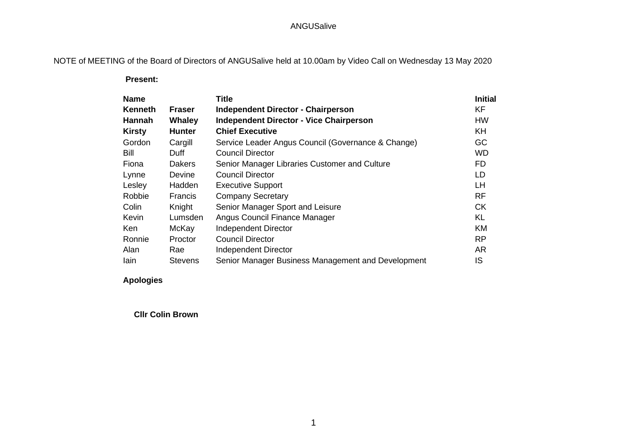# NOTE of MEETING of the Board of Directors of ANGUSalive held at 10.00am by Video Call on Wednesday 13 May 2020

 **Present:**

| <b>Name</b>    |                | <b>Title</b>                                       | <b>Initial</b> |
|----------------|----------------|----------------------------------------------------|----------------|
| <b>Kenneth</b> | <b>Fraser</b>  | <b>Independent Director - Chairperson</b>          | <b>KF</b>      |
| Hannah         | Whaley         | <b>Independent Director - Vice Chairperson</b>     | HW             |
| <b>Kirsty</b>  | <b>Hunter</b>  | <b>Chief Executive</b>                             | <b>KH</b>      |
| Gordon         | Cargill        | Service Leader Angus Council (Governance & Change) | GC             |
| <b>Bill</b>    | Duff.          | <b>Council Director</b>                            | <b>WD</b>      |
| Fiona          | Dakers         | Senior Manager Libraries Customer and Culture      | <b>FD</b>      |
| Lynne          | Devine         | <b>Council Director</b>                            | LD             |
| Lesley         | Hadden         | <b>Executive Support</b>                           | LH             |
| Robbie         | <b>Francis</b> | <b>Company Secretary</b>                           | <b>RF</b>      |
| Colin          | Knight         | Senior Manager Sport and Leisure                   | <b>CK</b>      |
| Kevin          | Lumsden        | Angus Council Finance Manager                      | KL             |
| <b>Ken</b>     | McKay          | Independent Director                               | <b>KM</b>      |
| Ronnie         | Proctor        | <b>Council Director</b>                            | <b>RP</b>      |
| Alan           | Rae            | <b>Independent Director</b>                        | <b>AR</b>      |
| lain           | <b>Stevens</b> | Senior Manager Business Management and Development | IS             |

#### **Apologies**

**Cllr Colin Brown**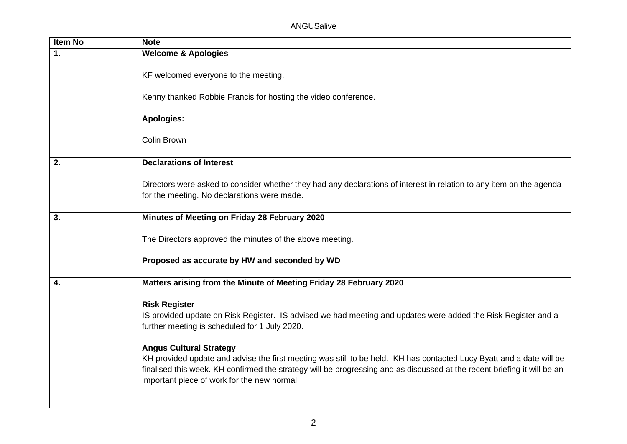| <b>Item No</b> | <b>Note</b>                                                                                                                                                                                                                                                                                                                                                                                                                                                                                                                 |
|----------------|-----------------------------------------------------------------------------------------------------------------------------------------------------------------------------------------------------------------------------------------------------------------------------------------------------------------------------------------------------------------------------------------------------------------------------------------------------------------------------------------------------------------------------|
| $\mathbf{1}$ . | <b>Welcome &amp; Apologies</b>                                                                                                                                                                                                                                                                                                                                                                                                                                                                                              |
|                | KF welcomed everyone to the meeting.                                                                                                                                                                                                                                                                                                                                                                                                                                                                                        |
|                | Kenny thanked Robbie Francis for hosting the video conference.                                                                                                                                                                                                                                                                                                                                                                                                                                                              |
|                | <b>Apologies:</b>                                                                                                                                                                                                                                                                                                                                                                                                                                                                                                           |
|                | Colin Brown                                                                                                                                                                                                                                                                                                                                                                                                                                                                                                                 |
| 2.             | <b>Declarations of Interest</b>                                                                                                                                                                                                                                                                                                                                                                                                                                                                                             |
|                | Directors were asked to consider whether they had any declarations of interest in relation to any item on the agenda<br>for the meeting. No declarations were made.                                                                                                                                                                                                                                                                                                                                                         |
| 3.             | Minutes of Meeting on Friday 28 February 2020                                                                                                                                                                                                                                                                                                                                                                                                                                                                               |
|                | The Directors approved the minutes of the above meeting.                                                                                                                                                                                                                                                                                                                                                                                                                                                                    |
|                | Proposed as accurate by HW and seconded by WD                                                                                                                                                                                                                                                                                                                                                                                                                                                                               |
| 4.             | Matters arising from the Minute of Meeting Friday 28 February 2020                                                                                                                                                                                                                                                                                                                                                                                                                                                          |
|                | <b>Risk Register</b><br>IS provided update on Risk Register. IS advised we had meeting and updates were added the Risk Register and a<br>further meeting is scheduled for 1 July 2020.<br><b>Angus Cultural Strategy</b><br>KH provided update and advise the first meeting was still to be held. KH has contacted Lucy Byatt and a date will be<br>finalised this week. KH confirmed the strategy will be progressing and as discussed at the recent briefing it will be an<br>important piece of work for the new normal. |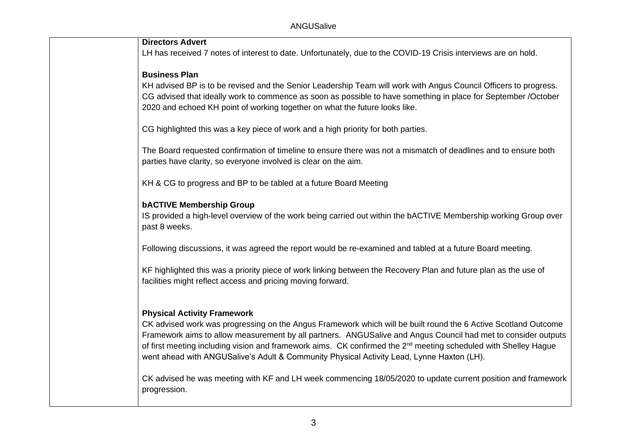| <b>Directors Advert</b>                                                                                                                                                         |
|---------------------------------------------------------------------------------------------------------------------------------------------------------------------------------|
| LH has received 7 notes of interest to date. Unfortunately, due to the COVID-19 Crisis interviews are on hold.                                                                  |
| <b>Business Plan</b>                                                                                                                                                            |
| KH advised BP is to be revised and the Senior Leadership Team will work with Angus Council Officers to progress.                                                                |
| CG advised that ideally work to commence as soon as possible to have something in place for September /October                                                                  |
| 2020 and echoed KH point of working together on what the future looks like.                                                                                                     |
| CG highlighted this was a key piece of work and a high priority for both parties.                                                                                               |
| The Board requested confirmation of timeline to ensure there was not a mismatch of deadlines and to ensure both                                                                 |
| parties have clarity, so everyone involved is clear on the aim.                                                                                                                 |
|                                                                                                                                                                                 |
| KH & CG to progress and BP to be tabled at a future Board Meeting                                                                                                               |
| <b>bACTIVE Membership Group</b>                                                                                                                                                 |
| IS provided a high-level overview of the work being carried out within the bACTIVE Membership working Group over                                                                |
| past 8 weeks.                                                                                                                                                                   |
| Following discussions, it was agreed the report would be re-examined and tabled at a future Board meeting.                                                                      |
|                                                                                                                                                                                 |
| KF highlighted this was a priority piece of work linking between the Recovery Plan and future plan as the use of<br>facilities might reflect access and pricing moving forward. |
|                                                                                                                                                                                 |
|                                                                                                                                                                                 |
| <b>Physical Activity Framework</b><br>CK advised work was progressing on the Angus Framework which will be built round the 6 Active Scotland Outcome                            |
| Framework aims to allow measurement by all partners. ANGUSalive and Angus Council had met to consider outputs                                                                   |
| of first meeting including vision and framework aims. CK confirmed the 2 <sup>nd</sup> meeting scheduled with Shelley Hague                                                     |
| went ahead with ANGUSalive's Adult & Community Physical Activity Lead, Lynne Haxton (LH).                                                                                       |
| CK advised he was meeting with KF and LH week commencing 18/05/2020 to update current position and framework                                                                    |
| progression.                                                                                                                                                                    |
|                                                                                                                                                                                 |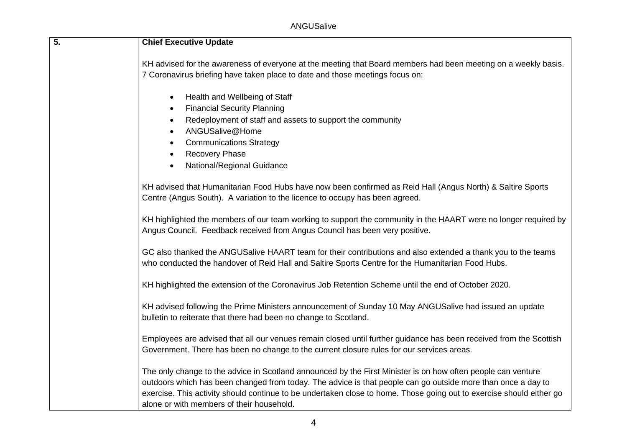| $\overline{5}$ . | <b>Chief Executive Update</b>                                                                                                                                                                                                                                                                                                                                                                     |
|------------------|---------------------------------------------------------------------------------------------------------------------------------------------------------------------------------------------------------------------------------------------------------------------------------------------------------------------------------------------------------------------------------------------------|
|                  | KH advised for the awareness of everyone at the meeting that Board members had been meeting on a weekly basis.<br>7 Coronavirus briefing have taken place to date and those meetings focus on:                                                                                                                                                                                                    |
|                  | Health and Wellbeing of Staff<br><b>Financial Security Planning</b><br>Redeployment of staff and assets to support the community<br>$\bullet$<br>ANGUSalive@Home<br><b>Communications Strategy</b><br><b>Recovery Phase</b><br>National/Regional Guidance<br>$\bullet$                                                                                                                            |
|                  | KH advised that Humanitarian Food Hubs have now been confirmed as Reid Hall (Angus North) & Saltire Sports<br>Centre (Angus South). A variation to the licence to occupy has been agreed.                                                                                                                                                                                                         |
|                  | KH highlighted the members of our team working to support the community in the HAART were no longer required by<br>Angus Council. Feedback received from Angus Council has been very positive.                                                                                                                                                                                                    |
|                  | GC also thanked the ANGUSalive HAART team for their contributions and also extended a thank you to the teams<br>who conducted the handover of Reid Hall and Saltire Sports Centre for the Humanitarian Food Hubs.                                                                                                                                                                                 |
|                  | KH highlighted the extension of the Coronavirus Job Retention Scheme until the end of October 2020.                                                                                                                                                                                                                                                                                               |
|                  | KH advised following the Prime Ministers announcement of Sunday 10 May ANGUSalive had issued an update<br>bulletin to reiterate that there had been no change to Scotland.                                                                                                                                                                                                                        |
|                  | Employees are advised that all our venues remain closed until further guidance has been received from the Scottish<br>Government. There has been no change to the current closure rules for our services areas.                                                                                                                                                                                   |
|                  | The only change to the advice in Scotland announced by the First Minister is on how often people can venture<br>outdoors which has been changed from today. The advice is that people can go outside more than once a day to<br>exercise. This activity should continue to be undertaken close to home. Those going out to exercise should either go<br>alone or with members of their household. |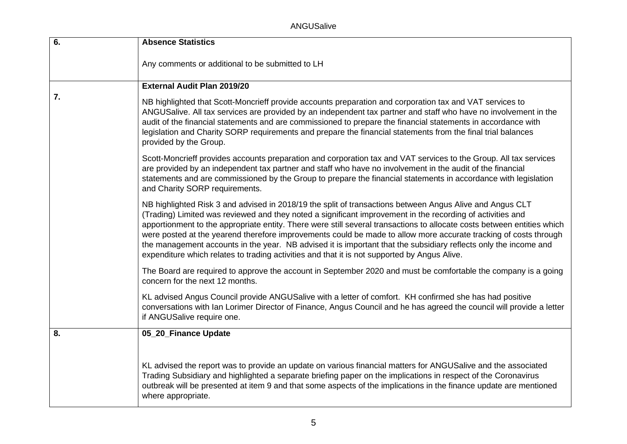ANGUSalive

| 6. | <b>Absence Statistics</b>                                                                                                                                                                                                                                                                                                                                                                                                                                                                                                                                                                                                                                                                 |
|----|-------------------------------------------------------------------------------------------------------------------------------------------------------------------------------------------------------------------------------------------------------------------------------------------------------------------------------------------------------------------------------------------------------------------------------------------------------------------------------------------------------------------------------------------------------------------------------------------------------------------------------------------------------------------------------------------|
|    | Any comments or additional to be submitted to LH                                                                                                                                                                                                                                                                                                                                                                                                                                                                                                                                                                                                                                          |
|    | <b>External Audit Plan 2019/20</b>                                                                                                                                                                                                                                                                                                                                                                                                                                                                                                                                                                                                                                                        |
| 7. | NB highlighted that Scott-Moncrieff provide accounts preparation and corporation tax and VAT services to<br>ANGUSalive. All tax services are provided by an independent tax partner and staff who have no involvement in the<br>audit of the financial statements and are commissioned to prepare the financial statements in accordance with<br>legislation and Charity SORP requirements and prepare the financial statements from the final trial balances<br>provided by the Group.                                                                                                                                                                                                   |
|    | Scott-Moncrieff provides accounts preparation and corporation tax and VAT services to the Group. All tax services<br>are provided by an independent tax partner and staff who have no involvement in the audit of the financial<br>statements and are commissioned by the Group to prepare the financial statements in accordance with legislation<br>and Charity SORP requirements.                                                                                                                                                                                                                                                                                                      |
|    | NB highlighted Risk 3 and advised in 2018/19 the split of transactions between Angus Alive and Angus CLT<br>(Trading) Limited was reviewed and they noted a significant improvement in the recording of activities and<br>apportionment to the appropriate entity. There were still several transactions to allocate costs between entities which<br>were posted at the yearend therefore improvements could be made to allow more accurate tracking of costs through<br>the management accounts in the year. NB advised it is important that the subsidiary reflects only the income and<br>expenditure which relates to trading activities and that it is not supported by Angus Alive. |
|    | The Board are required to approve the account in September 2020 and must be comfortable the company is a going<br>concern for the next 12 months.                                                                                                                                                                                                                                                                                                                                                                                                                                                                                                                                         |
|    | KL advised Angus Council provide ANGUSalive with a letter of comfort. KH confirmed she has had positive<br>conversations with Ian Lorimer Director of Finance, Angus Council and he has agreed the council will provide a letter<br>if ANGUSalive require one.                                                                                                                                                                                                                                                                                                                                                                                                                            |
| 8. | 05_20_Finance Update                                                                                                                                                                                                                                                                                                                                                                                                                                                                                                                                                                                                                                                                      |
|    |                                                                                                                                                                                                                                                                                                                                                                                                                                                                                                                                                                                                                                                                                           |
|    | KL advised the report was to provide an update on various financial matters for ANGUSalive and the associated<br>Trading Subsidiary and highlighted a separate briefing paper on the implications in respect of the Coronavirus<br>outbreak will be presented at item 9 and that some aspects of the implications in the finance update are mentioned<br>where appropriate.                                                                                                                                                                                                                                                                                                               |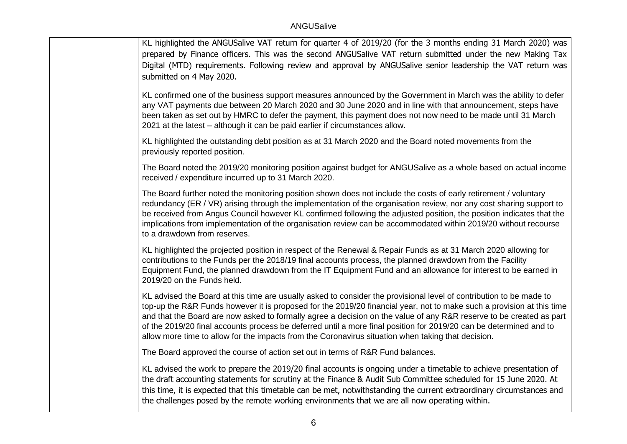KL highlighted the ANGUSalive VAT return for quarter 4 of 2019/20 (for the 3 months ending 31 March 2020) was prepared by Finance officers. This was the second ANGUSalive VAT return submitted under the new Making Tax Digital (MTD) requirements. Following review and approval by ANGUSalive senior leadership the VAT return was submitted on 4 May 2020.

KL confirmed one of the business support measures announced by the Government in March was the ability to defer any VAT payments due between 20 March 2020 and 30 June 2020 and in line with that announcement, steps have been taken as set out by HMRC to defer the payment, this payment does not now need to be made until 31 March 2021 at the latest – although it can be paid earlier if circumstances allow.

KL highlighted the outstanding debt position as at 31 March 2020 and the Board noted movements from the previously reported position.

The Board noted the 2019/20 monitoring position against budget for ANGUSalive as a whole based on actual income received / expenditure incurred up to 31 March 2020.

The Board further noted the monitoring position shown does not include the costs of early retirement / voluntary redundancy (ER / VR) arising through the implementation of the organisation review, nor any cost sharing support to be received from Angus Council however KL confirmed following the adjusted position, the position indicates that the implications from implementation of the organisation review can be accommodated within 2019/20 without recourse to a drawdown from reserves.

KL highlighted the projected position in respect of the Renewal & Repair Funds as at 31 March 2020 allowing for contributions to the Funds per the 2018/19 final accounts process, the planned drawdown from the Facility Equipment Fund, the planned drawdown from the IT Equipment Fund and an allowance for interest to be earned in 2019/20 on the Funds held.

KL advised the Board at this time are usually asked to consider the provisional level of contribution to be made to top-up the R&R Funds however it is proposed for the 2019/20 financial year, not to make such a provision at this time and that the Board are now asked to formally agree a decision on the value of any R&R reserve to be created as part of the 2019/20 final accounts process be deferred until a more final position for 2019/20 can be determined and to allow more time to allow for the impacts from the Coronavirus situation when taking that decision.

The Board approved the course of action set out in terms of R&R Fund balances.

KL advised the work to prepare the 2019/20 final accounts is ongoing under a timetable to achieve presentation of the draft accounting statements for scrutiny at the Finance & Audit Sub Committee scheduled for 15 June 2020. At this time, it is expected that this timetable can be met, notwithstanding the current extraordinary circumstances and the challenges posed by the remote working environments that we are all now operating within.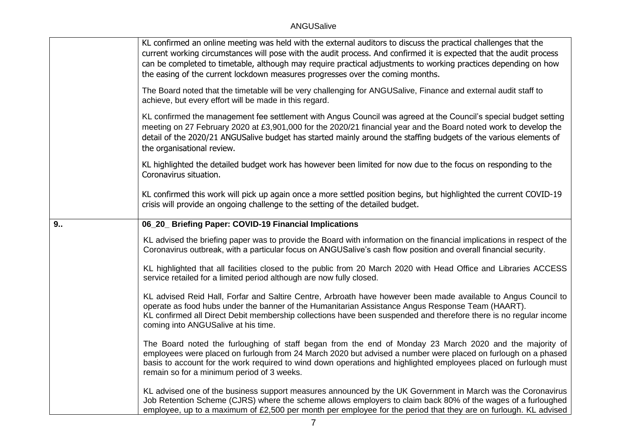|    | KL confirmed an online meeting was held with the external auditors to discuss the practical challenges that the<br>current working circumstances will pose with the audit process. And confirmed it is expected that the audit process<br>can be completed to timetable, although may require practical adjustments to working practices depending on how<br>the easing of the current lockdown measures progresses over the coming months. |
|----|---------------------------------------------------------------------------------------------------------------------------------------------------------------------------------------------------------------------------------------------------------------------------------------------------------------------------------------------------------------------------------------------------------------------------------------------|
|    | The Board noted that the timetable will be very challenging for ANGUSalive, Finance and external audit staff to<br>achieve, but every effort will be made in this regard.                                                                                                                                                                                                                                                                   |
|    | KL confirmed the management fee settlement with Angus Council was agreed at the Council's special budget setting<br>meeting on 27 February 2020 at £3,901,000 for the 2020/21 financial year and the Board noted work to develop the<br>detail of the 2020/21 ANGUSalive budget has started mainly around the staffing budgets of the various elements of<br>the organisational review.                                                     |
|    | KL highlighted the detailed budget work has however been limited for now due to the focus on responding to the<br>Coronavirus situation.                                                                                                                                                                                                                                                                                                    |
|    | KL confirmed this work will pick up again once a more settled position begins, but highlighted the current COVID-19<br>crisis will provide an ongoing challenge to the setting of the detailed budget.                                                                                                                                                                                                                                      |
| 9. | 06_20_ Briefing Paper: COVID-19 Financial Implications                                                                                                                                                                                                                                                                                                                                                                                      |
|    | KL advised the briefing paper was to provide the Board with information on the financial implications in respect of the<br>Coronavirus outbreak, with a particular focus on ANGUSalive's cash flow position and overall financial security.                                                                                                                                                                                                 |
|    | KL highlighted that all facilities closed to the public from 20 March 2020 with Head Office and Libraries ACCESS<br>service retailed for a limited period although are now fully closed.                                                                                                                                                                                                                                                    |
|    | KL advised Reid Hall, Forfar and Saltire Centre, Arbroath have however been made available to Angus Council to<br>operate as food hubs under the banner of the Humanitarian Assistance Angus Response Team (HAART).<br>KL confirmed all Direct Debit membership collections have been suspended and therefore there is no regular income<br>coming into ANGUSalive at his time.                                                             |
|    | The Board noted the furloughing of staff began from the end of Monday 23 March 2020 and the majority of<br>employees were placed on furlough from 24 March 2020 but advised a number were placed on furlough on a phased<br>basis to account for the work required to wind down operations and highlighted employees placed on furlough must<br>remain so for a minimum period of 3 weeks.                                                  |
|    | KL advised one of the business support measures announced by the UK Government in March was the Coronavirus<br>Job Retention Scheme (CJRS) where the scheme allows employers to claim back 80% of the wages of a furloughed<br>employee, up to a maximum of £2,500 per month per employee for the period that they are on furlough. KL advised                                                                                              |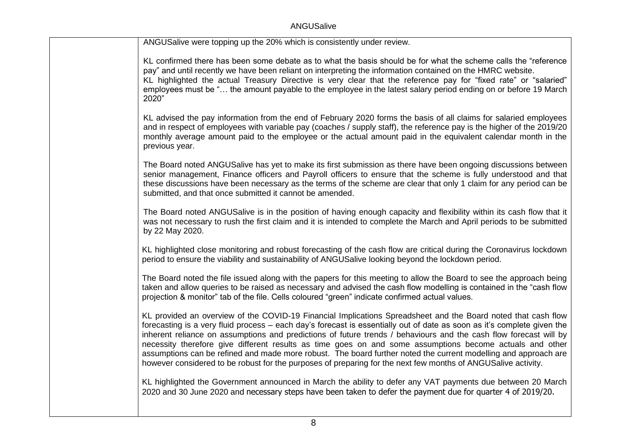| ANGUSalive were topping up the 20% which is consistently under review.                                                                                                                                                                                                                                                                                                                                                                                                                                                                                                                                                                                                                                        |
|---------------------------------------------------------------------------------------------------------------------------------------------------------------------------------------------------------------------------------------------------------------------------------------------------------------------------------------------------------------------------------------------------------------------------------------------------------------------------------------------------------------------------------------------------------------------------------------------------------------------------------------------------------------------------------------------------------------|
| KL confirmed there has been some debate as to what the basis should be for what the scheme calls the "reference<br>pay" and until recently we have been reliant on interpreting the information contained on the HMRC website.<br>KL highlighted the actual Treasury Directive is very clear that the reference pay for "fixed rate" or "salaried"<br>employees must be " the amount payable to the employee in the latest salary period ending on or before 19 March<br>2020"                                                                                                                                                                                                                                |
| KL advised the pay information from the end of February 2020 forms the basis of all claims for salaried employees<br>and in respect of employees with variable pay (coaches / supply staff), the reference pay is the higher of the 2019/20<br>monthly average amount paid to the employee or the actual amount paid in the equivalent calendar month in the<br>previous year.                                                                                                                                                                                                                                                                                                                                |
| The Board noted ANGUSalive has yet to make its first submission as there have been ongoing discussions between<br>senior management, Finance officers and Payroll officers to ensure that the scheme is fully understood and that<br>these discussions have been necessary as the terms of the scheme are clear that only 1 claim for any period can be<br>submitted, and that once submitted it cannot be amended.                                                                                                                                                                                                                                                                                           |
| The Board noted ANGUSalive is in the position of having enough capacity and flexibility within its cash flow that it<br>was not necessary to rush the first claim and it is intended to complete the March and April periods to be submitted<br>by 22 May 2020.                                                                                                                                                                                                                                                                                                                                                                                                                                               |
| KL highlighted close monitoring and robust forecasting of the cash flow are critical during the Coronavirus lockdown<br>period to ensure the viability and sustainability of ANGUSalive looking beyond the lockdown period.                                                                                                                                                                                                                                                                                                                                                                                                                                                                                   |
| The Board noted the file issued along with the papers for this meeting to allow the Board to see the approach being<br>taken and allow queries to be raised as necessary and advised the cash flow modelling is contained in the "cash flow<br>projection & monitor" tab of the file. Cells coloured "green" indicate confirmed actual values.                                                                                                                                                                                                                                                                                                                                                                |
| KL provided an overview of the COVID-19 Financial Implications Spreadsheet and the Board noted that cash flow<br>forecasting is a very fluid process – each day's forecast is essentially out of date as soon as it's complete given the<br>inherent reliance on assumptions and predictions of future trends / behaviours and the cash flow forecast will by<br>necessity therefore give different results as time goes on and some assumptions become actuals and other<br>assumptions can be refined and made more robust. The board further noted the current modelling and approach are<br>however considered to be robust for the purposes of preparing for the next few months of ANGUSalive activity. |
| KL highlighted the Government announced in March the ability to defer any VAT payments due between 20 March<br>2020 and 30 June 2020 and necessary steps have been taken to defer the payment due for quarter 4 of 2019/20.                                                                                                                                                                                                                                                                                                                                                                                                                                                                                   |
|                                                                                                                                                                                                                                                                                                                                                                                                                                                                                                                                                                                                                                                                                                               |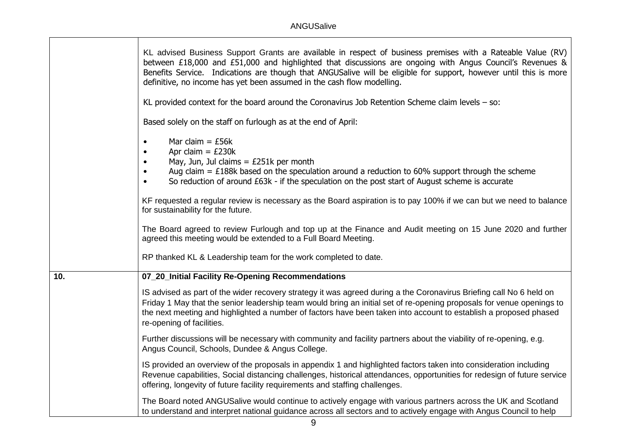|     | KL advised Business Support Grants are available in respect of business premises with a Rateable Value (RV)<br>between £18,000 and £51,000 and highlighted that discussions are ongoing with Angus Council's Revenues &<br>Benefits Service. Indications are though that ANGUSalive will be eligible for support, however until this is more<br>definitive, no income has yet been assumed in the cash flow modelling. |
|-----|------------------------------------------------------------------------------------------------------------------------------------------------------------------------------------------------------------------------------------------------------------------------------------------------------------------------------------------------------------------------------------------------------------------------|
|     | KL provided context for the board around the Coronavirus Job Retention Scheme claim levels $-$ so:                                                                                                                                                                                                                                                                                                                     |
|     | Based solely on the staff on furlough as at the end of April:                                                                                                                                                                                                                                                                                                                                                          |
|     | Mar claim = $£56k$<br>Apr claim $=$ £230 $k$<br>May, Jun, Jul claims = $£251k$ per month<br>Aug claim = £188k based on the speculation around a reduction to 60% support through the scheme<br>So reduction of around £63k - if the speculation on the post start of August scheme is accurate<br>$\bullet$                                                                                                            |
|     | KF requested a regular review is necessary as the Board aspiration is to pay 100% if we can but we need to balance<br>for sustainability for the future.                                                                                                                                                                                                                                                               |
|     | The Board agreed to review Furlough and top up at the Finance and Audit meeting on 15 June 2020 and further<br>agreed this meeting would be extended to a Full Board Meeting.                                                                                                                                                                                                                                          |
|     | RP thanked KL & Leadership team for the work completed to date.                                                                                                                                                                                                                                                                                                                                                        |
| 10. | 07_20_Initial Facility Re-Opening Recommendations                                                                                                                                                                                                                                                                                                                                                                      |
|     | IS advised as part of the wider recovery strategy it was agreed during a the Coronavirus Briefing call No 6 held on<br>Friday 1 May that the senior leadership team would bring an initial set of re-opening proposals for venue openings to<br>the next meeting and highlighted a number of factors have been taken into account to establish a proposed phased<br>re-opening of facilities.                          |
|     | Further discussions will be necessary with community and facility partners about the viability of re-opening, e.g.<br>Angus Council, Schools, Dundee & Angus College.                                                                                                                                                                                                                                                  |
|     | IS provided an overview of the proposals in appendix 1 and highlighted factors taken into consideration including<br>Revenue capabilities, Social distancing challenges, historical attendances, opportunities for redesign of future service<br>offering, longevity of future facility requirements and staffing challenges.                                                                                          |
|     | The Board noted ANGUSalive would continue to actively engage with various partners across the UK and Scotland<br>to understand and interpret national quidance across all sectors and to actively engage with Angus Council to help                                                                                                                                                                                    |